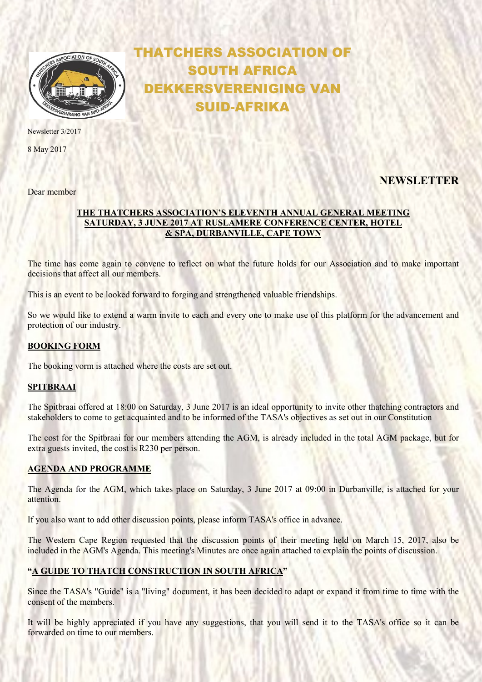

Newsletter 3/2017

8 May 2017

Dear member

# THATCHERS ASSOCIATION OF SOUTH AFRICA DEKKERSVERENIGING VAN SUID-AFRIKA

# **NEWSLETTER**

## THE THATCHERS ASSOCIATION'S ELEVENTH ANNUAL GENERAL MEETING SATURDAY, 3 JUNE 2017 AT RUSLAMERE CONFERENCE CENTER, HOTEL & SPA, DURBANVILLE, CAPE TOWN

The time has come again to convene to reflect on what the future holds for our Association and to make important decisions that affect all our members.

This is an event to be looked forward to forging and strengthened valuable friendships.

So we would like to extend a warm invite to each and every one to make use of this platform for the advancement and protection of our industry.

#### BOOKING FORM

The booking vorm is attached where the costs are set out.

#### SPITBRAAI

The Spitbraai offered at 18:00 on Saturday, 3 June 2017 is an ideal opportunity to invite other thatching contractors and stakeholders to come to get acquainted and to be informed of the TASA's objectives as set out in our Constitution

The cost for the Spitbraai for our members attending the AGM, is already included in the total AGM package, but for extra guests invited, the cost is R230 per person.

#### AGENDA AND PROGRAMME

The Agenda for the AGM, which takes place on Saturday, 3 June 2017 at 09:00 in Durbanville, is attached for your attention.

If you also want to add other discussion points, please inform TASA's office in advance.

The Western Cape Region requested that the discussion points of their meeting held on March 15, 2017, also be included in the AGM's Agenda. This meeting's Minutes are once again attached to explain the points of discussion.

### "A GUIDE TO THATCH CONSTRUCTION IN SOUTH AFRICA"

Since the TASA's "Guide" is a "living" document, it has been decided to adapt or expand it from time to time with the consent of the members.

It will be highly appreciated if you have any suggestions, that you will send it to the TASA's office so it can be forwarded on time to our members.